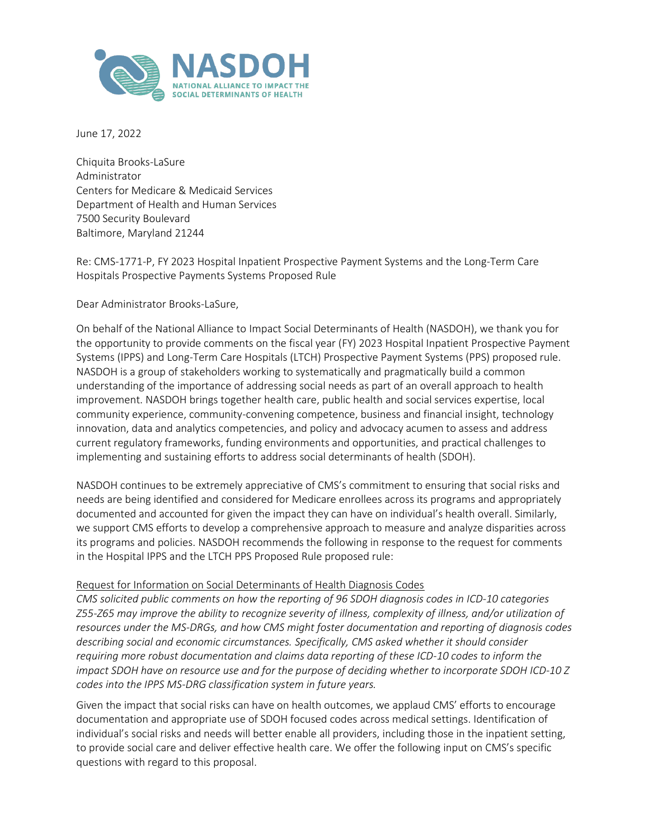

June 17, 2022

Chiquita Brooks-LaSure Administrator Centers for Medicare & Medicaid Services Department of Health and Human Services 7500 Security Boulevard Baltimore, Maryland 21244

Re: CMS-1771-P, FY 2023 Hospital Inpatient Prospective Payment Systems and the Long-Term Care Hospitals Prospective Payments Systems Proposed Rule

Dear Administrator Brooks-LaSure,

On behalf of the National Alliance to Impact Social Determinants of Health (NASDOH), we thank you for the opportunity to provide comments on the fiscal year (FY) 2023 Hospital Inpatient Prospective Payment Systems (IPPS) and Long-Term Care Hospitals (LTCH) Prospective Payment Systems (PPS) proposed rule. NASDOH is a group of stakeholders working to systematically and pragmatically build a common understanding of the importance of addressing social needs as part of an overall approach to health improvement. NASDOH brings together health care, public health and social services expertise, local community experience, community-convening competence, business and financial insight, technology innovation, data and analytics competencies, and policy and advocacy acumen to assess and address current regulatory frameworks, funding environments and opportunities, and practical challenges to implementing and sustaining efforts to address social determinants of health (SDOH).

NASDOH continues to be extremely appreciative of CMS's commitment to ensuring that social risks and needs are being identified and considered for Medicare enrollees across its programs and appropriately documented and accounted for given the impact they can have on individual's health overall. Similarly, we support CMS efforts to develop a comprehensive approach to measure and analyze disparities across its programs and policies. NASDOH recommends the following in response to the request for comments in the Hospital IPPS and the LTCH PPS Proposed Rule proposed rule:

## Request for Information on Social Determinants of Health Diagnosis Codes

*CMS solicited public comments on how the reporting of 96 SDOH diagnosis codes in ICD-10 categories Z55-Z65 may improve the ability to recognize severity of illness, complexity of illness, and/or utilization of resources under the MS-DRGs, and how CMS might foster documentation and reporting of diagnosis codes describing social and economic circumstances. Specifically, CMS asked whether it should consider requiring more robust documentation and claims data reporting of these ICD-10 codes to inform the impact SDOH have on resource use and for the purpose of deciding whether to incorporate SDOH ICD-10 Z codes into the IPPS MS-DRG classification system in future years.*

Given the impact that social risks can have on health outcomes, we applaud CMS' efforts to encourage documentation and appropriate use of SDOH focused codes across medical settings. Identification of individual's social risks and needs will better enable all providers, including those in the inpatient setting, to provide social care and deliver effective health care. We offer the following input on CMS's specific questions with regard to this proposal.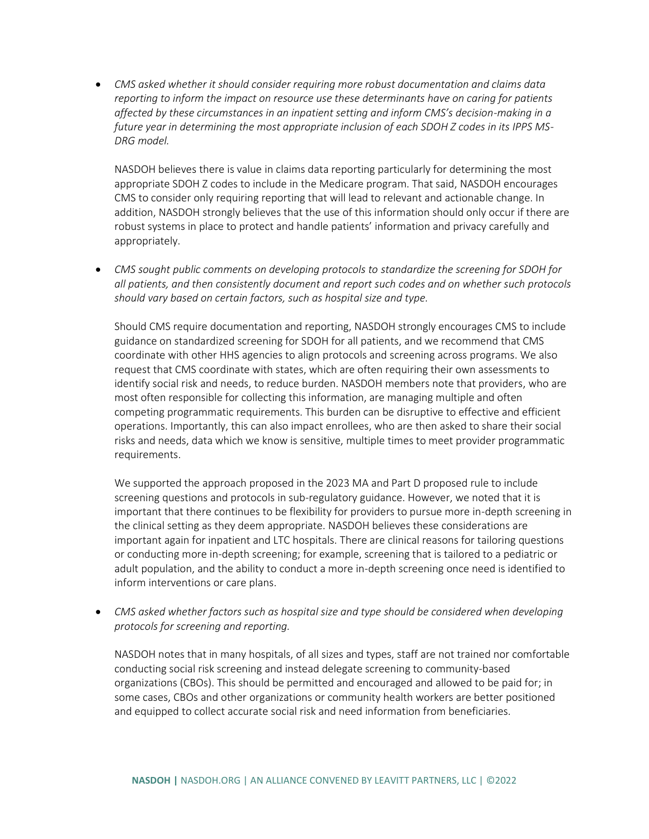• *CMS asked whether it should consider requiring more robust documentation and claims data reporting to inform the impact on resource use these determinants have on caring for patients affected by these circumstances in an inpatient setting and inform CMS's decision-making in a future year in determining the most appropriate inclusion of each SDOH Z codes in its IPPS MS-DRG model.*

NASDOH believes there is value in claims data reporting particularly for determining the most appropriate SDOH Z codes to include in the Medicare program. That said, NASDOH encourages CMS to consider only requiring reporting that will lead to relevant and actionable change. In addition, NASDOH strongly believes that the use of this information should only occur if there are robust systems in place to protect and handle patients' information and privacy carefully and appropriately.

• *CMS sought public comments on developing protocols to standardize the screening for SDOH for all patients, and then consistently document and report such codes and on whether such protocols should vary based on certain factors, such as hospital size and type.*

Should CMS require documentation and reporting, NASDOH strongly encourages CMS to include guidance on standardized screening for SDOH for all patients, and we recommend that CMS coordinate with other HHS agencies to align protocols and screening across programs. We also request that CMS coordinate with states, which are often requiring their own assessments to identify social risk and needs, to reduce burden. NASDOH members note that providers, who are most often responsible for collecting this information, are managing multiple and often competing programmatic requirements. This burden can be disruptive to effective and efficient operations. Importantly, this can also impact enrollees, who are then asked to share their social risks and needs, data which we know is sensitive, multiple times to meet provider programmatic requirements.

We supported the approach proposed in the 2023 MA and Part D proposed rule to include screening questions and protocols in sub-regulatory guidance. However, we noted that it is important that there continues to be flexibility for providers to pursue more in-depth screening in the clinical setting as they deem appropriate. NASDOH believes these considerations are important again for inpatient and LTC hospitals. There are clinical reasons for tailoring questions or conducting more in-depth screening; for example, screening that is tailored to a pediatric or adult population, and the ability to conduct a more in-depth screening once need is identified to inform interventions or care plans.

• *CMS asked whether factors such as hospital size and type should be considered when developing protocols for screening and reporting.*

NASDOH notes that in many hospitals, of all sizes and types, staff are not trained nor comfortable conducting social risk screening and instead delegate screening to community-based organizations (CBOs). This should be permitted and encouraged and allowed to be paid for; in some cases, CBOs and other organizations or community health workers are better positioned and equipped to collect accurate social risk and need information from beneficiaries.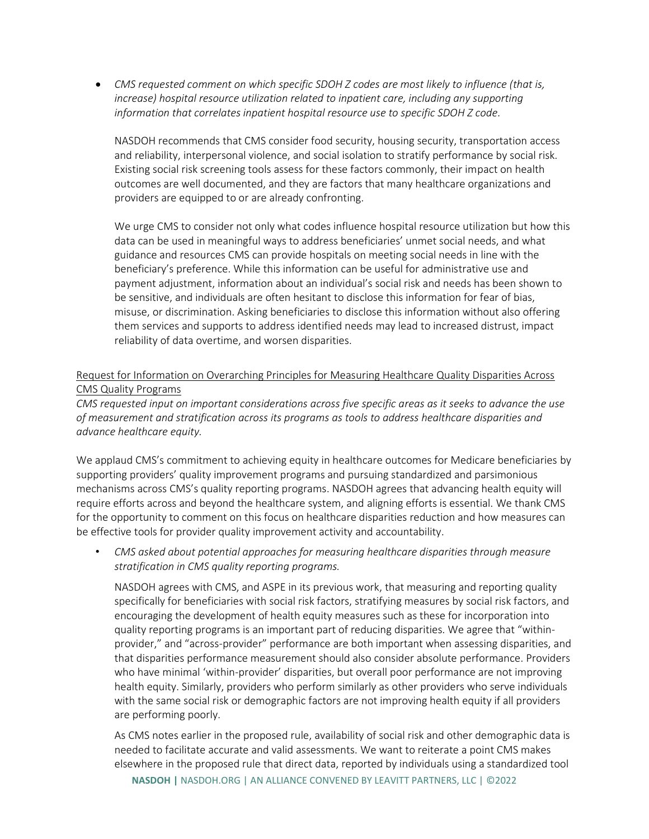• *CMS requested comment on which specific SDOH Z codes are most likely to influence (that is, increase) hospital resource utilization related to inpatient care, including any supporting information that correlates inpatient hospital resource use to specific SDOH Z code.*

NASDOH recommends that CMS consider food security, housing security, transportation access and reliability, interpersonal violence, and social isolation to stratify performance by social risk. Existing social risk screening tools assess for these factors commonly, their impact on health outcomes are well documented, and they are factors that many healthcare organizations and providers are equipped to or are already confronting.

We urge CMS to consider not only what codes influence hospital resource utilization but how this data can be used in meaningful ways to address beneficiaries' unmet social needs, and what guidance and resources CMS can provide hospitals on meeting social needs in line with the beneficiary's preference. While this information can be useful for administrative use and payment adjustment, information about an individual's social risk and needs has been shown to be sensitive, and individuals are often hesitant to disclose this information for fear of bias, misuse, or discrimination. Asking beneficiaries to disclose this information without also offering them services and supports to address identified needs may lead to increased distrust, impact reliability of data overtime, and worsen disparities.

## Request for Information on Overarching Principles for Measuring Healthcare Quality Disparities Across CMS Quality Programs

*CMS requested input on important considerations across five specific areas as it seeks to advance the use of measurement and stratification across its programs as tools to address healthcare disparities and advance healthcare equity.*

We applaud CMS's commitment to achieving equity in healthcare outcomes for Medicare beneficiaries by supporting providers' quality improvement programs and pursuing standardized and parsimonious mechanisms across CMS's quality reporting programs. NASDOH agrees that advancing health equity will require efforts across and beyond the healthcare system, and aligning efforts is essential. We thank CMS for the opportunity to comment on this focus on healthcare disparities reduction and how measures can be effective tools for provider quality improvement activity and accountability.

• *CMS asked about potential approaches for measuring healthcare disparities through measure stratification in CMS quality reporting programs.*

NASDOH agrees with CMS, and ASPE in its previous work, that measuring and reporting quality specifically for beneficiaries with social risk factors, stratifying measures by social risk factors, and encouraging the development of health equity measures such as these for incorporation into quality reporting programs is an important part of reducing disparities. We agree that "withinprovider," and "across-provider" performance are both important when assessing disparities, and that disparities performance measurement should also consider absolute performance. Providers who have minimal 'within-provider' disparities, but overall poor performance are not improving health equity. Similarly, providers who perform similarly as other providers who serve individuals with the same social risk or demographic factors are not improving health equity if all providers are performing poorly.

As CMS notes earlier in the proposed rule, availability of social risk and other demographic data is needed to facilitate accurate and valid assessments. We want to reiterate a point CMS makes elsewhere in the proposed rule that direct data, reported by individuals using a standardized tool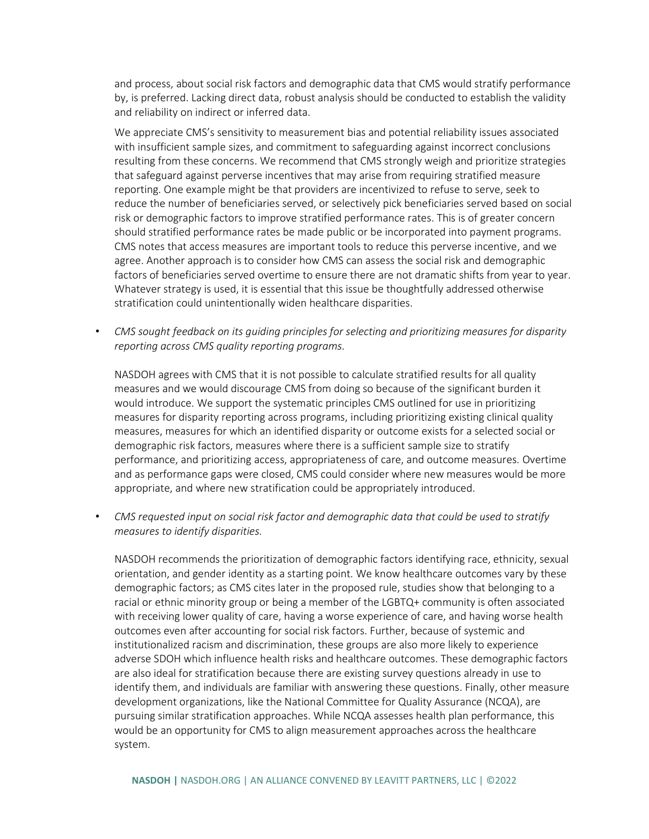and process, about social risk factors and demographic data that CMS would stratify performance by, is preferred. Lacking direct data, robust analysis should be conducted to establish the validity and reliability on indirect or inferred data.

We appreciate CMS's sensitivity to measurement bias and potential reliability issues associated with insufficient sample sizes, and commitment to safeguarding against incorrect conclusions resulting from these concerns. We recommend that CMS strongly weigh and prioritize strategies that safeguard against perverse incentives that may arise from requiring stratified measure reporting. One example might be that providers are incentivized to refuse to serve, seek to reduce the number of beneficiaries served, or selectively pick beneficiaries served based on social risk or demographic factors to improve stratified performance rates. This is of greater concern should stratified performance rates be made public or be incorporated into payment programs. CMS notes that access measures are important tools to reduce this perverse incentive, and we agree. Another approach is to consider how CMS can assess the social risk and demographic factors of beneficiaries served overtime to ensure there are not dramatic shifts from year to year. Whatever strategy is used, it is essential that this issue be thoughtfully addressed otherwise stratification could unintentionally widen healthcare disparities.

• *CMS sought feedback on its guiding principles for selecting and prioritizing measures for disparity reporting across CMS quality reporting programs.*

NASDOH agrees with CMS that it is not possible to calculate stratified results for all quality measures and we would discourage CMS from doing so because of the significant burden it would introduce. We support the systematic principles CMS outlined for use in prioritizing measures for disparity reporting across programs, including prioritizing existing clinical quality measures, measures for which an identified disparity or outcome exists for a selected social or demographic risk factors, measures where there is a sufficient sample size to stratify performance, and prioritizing access, appropriateness of care, and outcome measures. Overtime and as performance gaps were closed, CMS could consider where new measures would be more appropriate, and where new stratification could be appropriately introduced.

• *CMS requested input on social risk factor and demographic data that could be used to stratify measures to identify disparities.*

NASDOH recommends the prioritization of demographic factors identifying race, ethnicity, sexual orientation, and gender identity as a starting point. We know healthcare outcomes vary by these demographic factors; as CMS cites later in the proposed rule, studies show that belonging to a racial or ethnic minority group or being a member of the LGBTQ+ community is often associated with receiving lower quality of care, having a worse experience of care, and having worse health outcomes even after accounting for social risk factors. Further, because of systemic and institutionalized racism and discrimination, these groups are also more likely to experience adverse SDOH which influence health risks and healthcare outcomes. These demographic factors are also ideal for stratification because there are existing survey questions already in use to identify them, and individuals are familiar with answering these questions. Finally, other measure development organizations, like the National Committee for Quality Assurance (NCQA), are pursuing similar stratification approaches. While NCQA assesses health plan performance, this would be an opportunity for CMS to align measurement approaches across the healthcare system.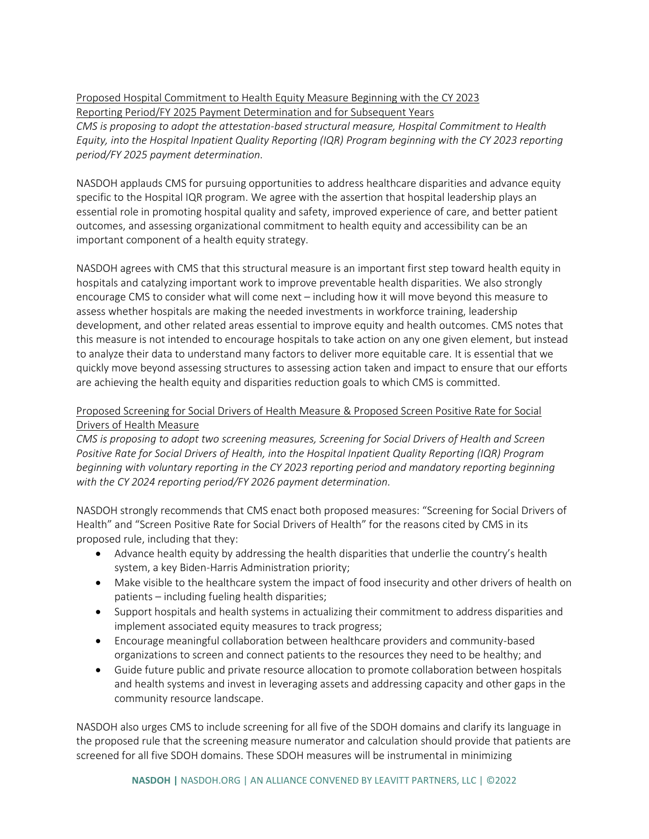Proposed Hospital Commitment to Health Equity Measure Beginning with the CY 2023 Reporting Period/FY 2025 Payment Determination and for Subsequent Years

*CMS is proposing to adopt the attestation-based structural measure, Hospital Commitment to Health Equity, into the Hospital Inpatient Quality Reporting (IQR) Program beginning with the CY 2023 reporting period/FY 2025 payment determination.*

NASDOH applauds CMS for pursuing opportunities to address healthcare disparities and advance equity specific to the Hospital IQR program. We agree with the assertion that hospital leadership plays an essential role in promoting hospital quality and safety, improved experience of care, and better patient outcomes, and assessing organizational commitment to health equity and accessibility can be an important component of a health equity strategy.

NASDOH agrees with CMS that this structural measure is an important first step toward health equity in hospitals and catalyzing important work to improve preventable health disparities. We also strongly encourage CMS to consider what will come next – including how it will move beyond this measure to assess whether hospitals are making the needed investments in workforce training, leadership development, and other related areas essential to improve equity and health outcomes. CMS notes that this measure is not intended to encourage hospitals to take action on any one given element, but instead to analyze their data to understand many factors to deliver more equitable care. It is essential that we quickly move beyond assessing structures to assessing action taken and impact to ensure that our efforts are achieving the health equity and disparities reduction goals to which CMS is committed.

## Proposed Screening for Social Drivers of Health Measure & Proposed Screen Positive Rate for Social Drivers of Health Measure

*CMS is proposing to adopt two screening measures, Screening for Social Drivers of Health and Screen Positive Rate for Social Drivers of Health, into the Hospital Inpatient Quality Reporting (IQR) Program beginning with voluntary reporting in the CY 2023 reporting period and mandatory reporting beginning with the CY 2024 reporting period/FY 2026 payment determination.*

NASDOH strongly recommends that CMS enact both proposed measures: "Screening for Social Drivers of Health" and "Screen Positive Rate for Social Drivers of Health" for the reasons cited by CMS in its proposed rule, including that they:

- Advance health equity by addressing the health disparities that underlie the country's health system, a key Biden-Harris Administration priority;
- Make visible to the healthcare system the impact of food insecurity and other drivers of health on patients – including fueling health disparities;
- Support hospitals and health systems in actualizing their commitment to address disparities and implement associated equity measures to track progress;
- Encourage meaningful collaboration between healthcare providers and community-based organizations to screen and connect patients to the resources they need to be healthy; and
- Guide future public and private resource allocation to promote collaboration between hospitals and health systems and invest in leveraging assets and addressing capacity and other gaps in the community resource landscape.

NASDOH also urges CMS to include screening for all five of the SDOH domains and clarify its language in the proposed rule that the screening measure numerator and calculation should provide that patients are screened for all five SDOH domains. These SDOH measures will be instrumental in minimizing